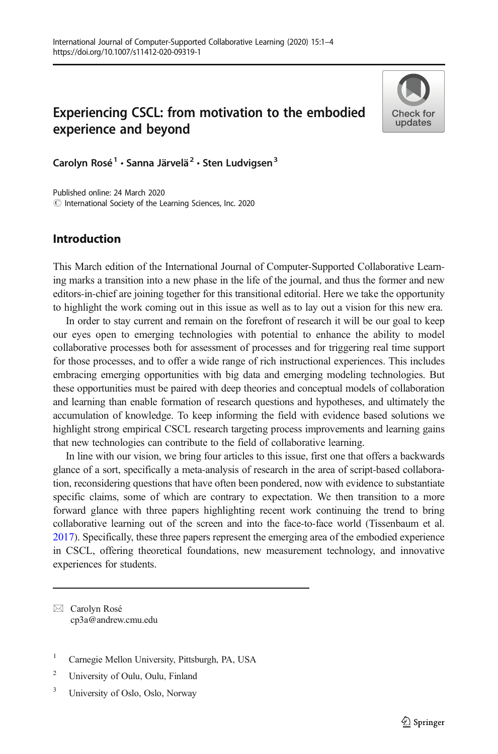# Experiencing CSCL: from motivation to the embodied experience and beyond



Carolyn Rosé<sup>1</sup> · Sanna Järvelä<sup>2</sup> · Sten Ludvigsen<sup>3</sup>

Published online: 24 March 2020  $\odot$  International Society of the Learning Sciences, Inc. 2020

# Introduction

This March edition of the International Journal of Computer-Supported Collaborative Learning marks a transition into a new phase in the life of the journal, and thus the former and new editors-in-chief are joining together for this transitional editorial. Here we take the opportunity to highlight the work coming out in this issue as well as to lay out a vision for this new era.

In order to stay current and remain on the forefront of research it will be our goal to keep our eyes open to emerging technologies with potential to enhance the ability to model collaborative processes both for assessment of processes and for triggering real time support for those processes, and to offer a wide range of rich instructional experiences. This includes embracing emerging opportunities with big data and emerging modeling technologies. But these opportunities must be paired with deep theories and conceptual models of collaboration and learning than enable formation of research questions and hypotheses, and ultimately the accumulation of knowledge. To keep informing the field with evidence based solutions we highlight strong empirical CSCL research targeting process improvements and learning gains that new technologies can contribute to the field of collaborative learning.

In line with our vision, we bring four articles to this issue, first one that offers a backwards glance of a sort, specifically a meta-analysis of research in the area of script-based collaboration, reconsidering questions that have often been pondered, now with evidence to substantiate specific claims, some of which are contrary to expectation. We then transition to a more forward glance with three papers highlighting recent work continuing the trend to bring collaborative learning out of the screen and into the face-to-face world (Tissenbaum et al. [2017](#page-3-0)). Specifically, these three papers represent the emerging area of the embodied experience in CSCL, offering theoretical foundations, new measurement technology, and innovative experiences for students.

 $\boxtimes$  Carolyn Rosé [cp3a@andrew.cmu.edu](mailto:cp3a@andrew.cmu.edu)

- <sup>1</sup> Carnegie Mellon University, Pittsburgh, PA, USA
- <sup>2</sup> University of Oulu, Oulu, Finland
- <sup>3</sup> University of Oslo, Oslo, Norway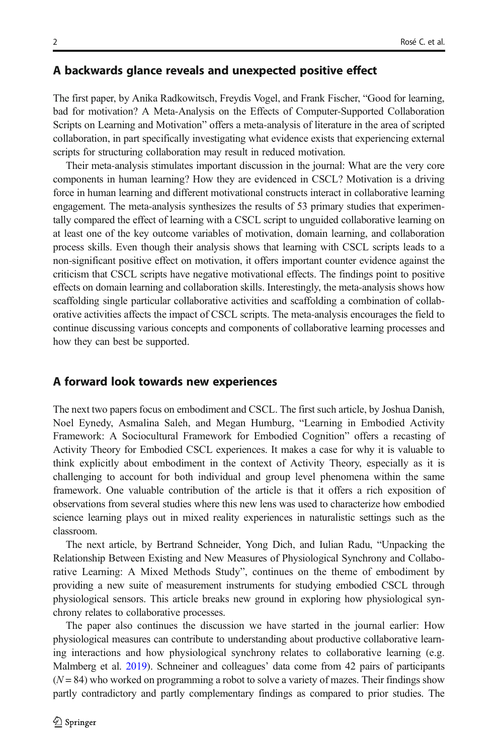## A backwards glance reveals and unexpected positive effect

The first paper, by Anika Radkowitsch, Freydis Vogel, and Frank Fischer, "Good for learning, bad for motivation? A Meta-Analysis on the Effects of Computer-Supported Collaboration Scripts on Learning and Motivation" offers a meta-analysis of literature in the area of scripted collaboration, in part specifically investigating what evidence exists that experiencing external scripts for structuring collaboration may result in reduced motivation.

Their meta-analysis stimulates important discussion in the journal: What are the very core components in human learning? How they are evidenced in CSCL? Motivation is a driving force in human learning and different motivational constructs interact in collaborative learning engagement. The meta-analysis synthesizes the results of 53 primary studies that experimentally compared the effect of learning with a CSCL script to unguided collaborative learning on at least one of the key outcome variables of motivation, domain learning, and collaboration process skills. Even though their analysis shows that learning with CSCL scripts leads to a non-significant positive effect on motivation, it offers important counter evidence against the criticism that CSCL scripts have negative motivational effects. The findings point to positive effects on domain learning and collaboration skills. Interestingly, the meta-analysis shows how scaffolding single particular collaborative activities and scaffolding a combination of collaborative activities affects the impact of CSCL scripts. The meta-analysis encourages the field to continue discussing various concepts and components of collaborative learning processes and how they can best be supported.

#### A forward look towards new experiences

The next two papers focus on embodiment and CSCL. The first such article, by Joshua Danish, Noel Eynedy, Asmalina Saleh, and Megan Humburg, "Learning in Embodied Activity Framework: A Sociocultural Framework for Embodied Cognition" offers a recasting of Activity Theory for Embodied CSCL experiences. It makes a case for why it is valuable to think explicitly about embodiment in the context of Activity Theory, especially as it is challenging to account for both individual and group level phenomena within the same framework. One valuable contribution of the article is that it offers a rich exposition of observations from several studies where this new lens was used to characterize how embodied science learning plays out in mixed reality experiences in naturalistic settings such as the classroom.

The next article, by Bertrand Schneider, Yong Dich, and Iulian Radu, "Unpacking the Relationship Between Existing and New Measures of Physiological Synchrony and Collaborative Learning: A Mixed Methods Study", continues on the theme of embodiment by providing a new suite of measurement instruments for studying embodied CSCL through physiological sensors. This article breaks new ground in exploring how physiological synchrony relates to collaborative processes.

The paper also continues the discussion we have started in the journal earlier: How physiological measures can contribute to understanding about productive collaborative learning interactions and how physiological synchrony relates to collaborative learning (e.g. Malmberg et al. [2019\)](#page-3-0). Schneiner and colleagues' data come from 42 pairs of participants  $(N = 84)$  who worked on programming a robot to solve a variety of mazes. Their findings show partly contradictory and partly complementary findings as compared to prior studies. The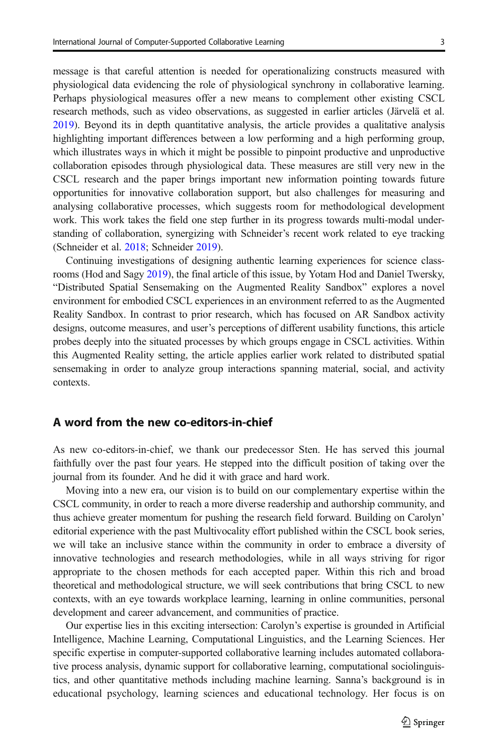message is that careful attention is needed for operationalizing constructs measured with physiological data evidencing the role of physiological synchrony in collaborative learning. Perhaps physiological measures offer a new means to complement other existing CSCL research methods, such as video observations, as suggested in earlier articles (Järvelä et al. [2019](#page-3-0)). Beyond its in depth quantitative analysis, the article provides a qualitative analysis highlighting important differences between a low performing and a high performing group, which illustrates ways in which it might be possible to pinpoint productive and unproductive collaboration episodes through physiological data. These measures are still very new in the CSCL research and the paper brings important new information pointing towards future opportunities for innovative collaboration support, but also challenges for measuring and analysing collaborative processes, which suggests room for methodological development work. This work takes the field one step further in its progress towards multi-modal understanding of collaboration, synergizing with Schneider's recent work related to eye tracking (Schneider et al. [2018;](#page-3-0) Schneider [2019\)](#page-3-0).

Continuing investigations of designing authentic learning experiences for science classrooms (Hod and Sagy [2019](#page-3-0)), the final article of this issue, by Yotam Hod and Daniel Twersky, "Distributed Spatial Sensemaking on the Augmented Reality Sandbox" explores a novel environment for embodied CSCL experiences in an environment referred to as the Augmented Reality Sandbox. In contrast to prior research, which has focused on AR Sandbox activity designs, outcome measures, and user's perceptions of different usability functions, this article probes deeply into the situated processes by which groups engage in CSCL activities. Within this Augmented Reality setting, the article applies earlier work related to distributed spatial sensemaking in order to analyze group interactions spanning material, social, and activity contexts.

#### A word from the new co-editors-in-chief

As new co-editors-in-chief, we thank our predecessor Sten. He has served this journal faithfully over the past four years. He stepped into the difficult position of taking over the journal from its founder. And he did it with grace and hard work.

Moving into a new era, our vision is to build on our complementary expertise within the CSCL community, in order to reach a more diverse readership and authorship community, and thus achieve greater momentum for pushing the research field forward. Building on Carolyn' editorial experience with the past Multivocality effort published within the CSCL book series, we will take an inclusive stance within the community in order to embrace a diversity of innovative technologies and research methodologies, while in all ways striving for rigor appropriate to the chosen methods for each accepted paper. Within this rich and broad theoretical and methodological structure, we will seek contributions that bring CSCL to new contexts, with an eye towards workplace learning, learning in online communities, personal development and career advancement, and communities of practice.

Our expertise lies in this exciting intersection: Carolyn's expertise is grounded in Artificial Intelligence, Machine Learning, Computational Linguistics, and the Learning Sciences. Her specific expertise in computer-supported collaborative learning includes automated collaborative process analysis, dynamic support for collaborative learning, computational sociolinguistics, and other quantitative methods including machine learning. Sanna's background is in educational psychology, learning sciences and educational technology. Her focus is on